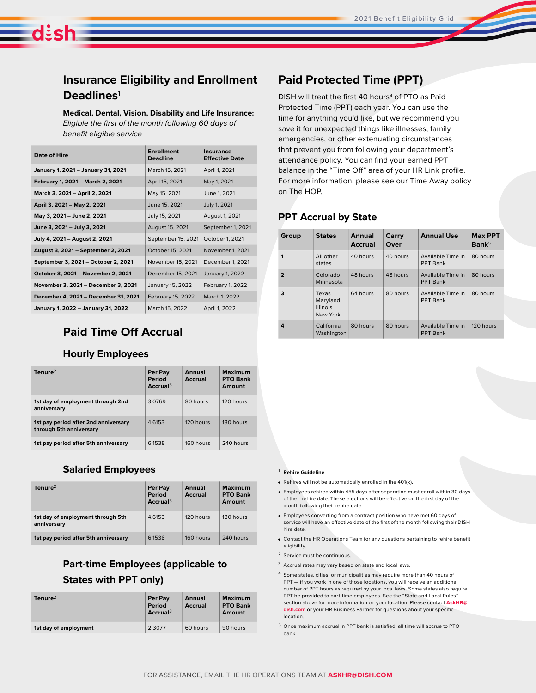# **Insurance Eligibility and Enrollment Deadlines**<sup>1</sup>

dish

**Medical, Dental, Vision, Disability and Life Insurance:** *Eligible the first of the month following 60 days of benefit eligible service*

| Date of Hire                         | <b>Enrollment</b><br><b>Deadline</b> | Insurance<br><b>Effective Date</b> |
|--------------------------------------|--------------------------------------|------------------------------------|
| January 1, 2021 - January 31, 2021   | March 15, 2021                       | April 1, 2021                      |
| February 1, 2021 - March 2, 2021     | April 15, 2021                       | May 1, 2021                        |
| March 3, 2021 - April 2, 2021        | May 15, 2021                         | June 1, 2021                       |
| April 3, 2021 - May 2, 2021          | June 15, 2021                        | July 1, 2021                       |
| May 3, 2021 - June 2, 2021           | July 15, 2021                        | August 1, 2021                     |
| June 3, 2021 - July 3, 2021          | August 15, 2021                      | September 1, 2021                  |
| July 4, 2021 - August 2, 2021        | September 15, 2021                   | October 1, 2021                    |
| August 3, 2021 - September 2, 2021   | October 15, 2021                     | November 1, 2021                   |
| September 3, 2021 - October 2, 2021  | November 15, 2021                    | December 1, 2021                   |
| October 3, 2021 - November 2, 2021   | December 15, 2021                    | January 1, 2022                    |
| November 3, 2021 - December 3, 2021  | January 15, 2022                     | February 1, 2022                   |
| December 4, 2021 - December 31, 2021 | February 15, 2022                    | March 1, 2022                      |
| January 1, 2022 - January 31, 2022   | March 15, 2022                       | April 1, 2022                      |

## **Paid Time Off Accrual**

#### **Hourly Employees**

| Tenure <sup>2</sup>                                             | Per Pay<br><b>Period</b><br>Accrual <sup>3</sup> | Annual<br>Accrual | <b>Maximum</b><br><b>PTO Bank</b><br>Amount |
|-----------------------------------------------------------------|--------------------------------------------------|-------------------|---------------------------------------------|
| 1st day of employment through 2nd<br>anniversary                | 3.0769                                           | 80 hours          | 120 hours                                   |
| 1st pay period after 2nd anniversary<br>through 5th anniversary | 4.6153                                           | 120 hours         | 180 hours                                   |
| 1st pay period after 5th anniversary                            | 6.1538                                           | 160 hours         | 240 hours                                   |

#### **Salaried Employees**

| $T$ enure $2$                                    | Per Pay<br>Period<br>Accrual <sup>3</sup> | <b>Annual</b><br><b>Accrual</b> | Maximum<br><b>PTO Bank</b><br>Amount |
|--------------------------------------------------|-------------------------------------------|---------------------------------|--------------------------------------|
| 1st day of employment through 5th<br>anniversary | 4.6153                                    | 120 hours                       | 180 hours                            |
| 1st pay period after 5th anniversary             | 6.1538                                    | 160 hours                       | 240 hours                            |

### **Part-time Employees (applicable to States with PPT only)**

| $T$ enure $2$         | Per Pay<br>Period<br>Accrual <sup>3</sup> | Annual<br>Accrual | <b>Maximum</b><br><b>PTO Bank</b><br>Amount |
|-----------------------|-------------------------------------------|-------------------|---------------------------------------------|
| 1st day of employment | 2.3077                                    | 60 hours          | 90 hours                                    |

## **Paid Protected Time (PPT)**

DISH will treat the first 40 hours<sup>4</sup> of PTO as Paid Protected Time (PPT) each year. You can use the time for anything you'd like, but we recommend you save it for unexpected things like illnesses, family emergencies, or other extenuating circumstances that prevent you from following your department's attendance policy. You can find your earned PPT balance in the "Time Off" area of your HR Link profile. For more information, please see our Time Away policy on The HOP.

#### **PPT Accrual by State**

| Group          | <b>States</b>                                    | <b>Annual</b><br><b>Accrual</b> | Carry<br>Over | <b>Annual Use</b>                    | <b>Max PPT</b><br>Bank <sup>5</sup> |
|----------------|--------------------------------------------------|---------------------------------|---------------|--------------------------------------|-------------------------------------|
| $\mathbf{1}$   | All other<br>states                              | 40 hours                        | 40 hours      | Available Time in<br>PPT Bank        | 80 hours                            |
| $\overline{2}$ | Colorado<br>Minnesota                            | 48 hours                        | 48 hours      | Available Time in<br><b>PPT Bank</b> | 80 hours                            |
| 3              | Texas<br>Maryland<br><b>Illinois</b><br>New York | 64 hours                        | 80 hours      | Available Time in<br>PPT Bank        | 80 hours                            |
| 4              | California<br>Washington                         | 80 hours                        | 80 hours      | Available Time in<br><b>PPT Bank</b> | 120 hours                           |

- <sup>1</sup> **Rehire Guideline**
- Rehires will not be automatically enrolled in the 401(k).
- Employees rehired within 455 days after separation must enroll within 30 days of their rehire date. These elections will be effective on the first day of the month following their rehire date.
- Employees converting from a contract position who have met 60 days of service will have an effective date of the first of the month following their DISH hire date.
- Contact the HR Operations Team for any questions pertaining to rehire benefit eligibility.
- <sup>2</sup> Service must be continuous.
- <sup>3</sup> Accrual rates may vary based on state and local laws.
- <sup>4</sup> Some states, cities, or municipalities may require more than 40 hours of PPT — if you work in one of those locations, you will receive an additional number of PPT hours as required by your local laws. Some states also require PPT be provided to part-time employees. See the "State and Local Rules" section above for more information on your location. Please contact **AskHR@ dish.com** or your HR Business Partner for questions about your specific location.
- 5 Once maximum accrual in PPT bank is satisfied, all time will accrue to PTO bank.